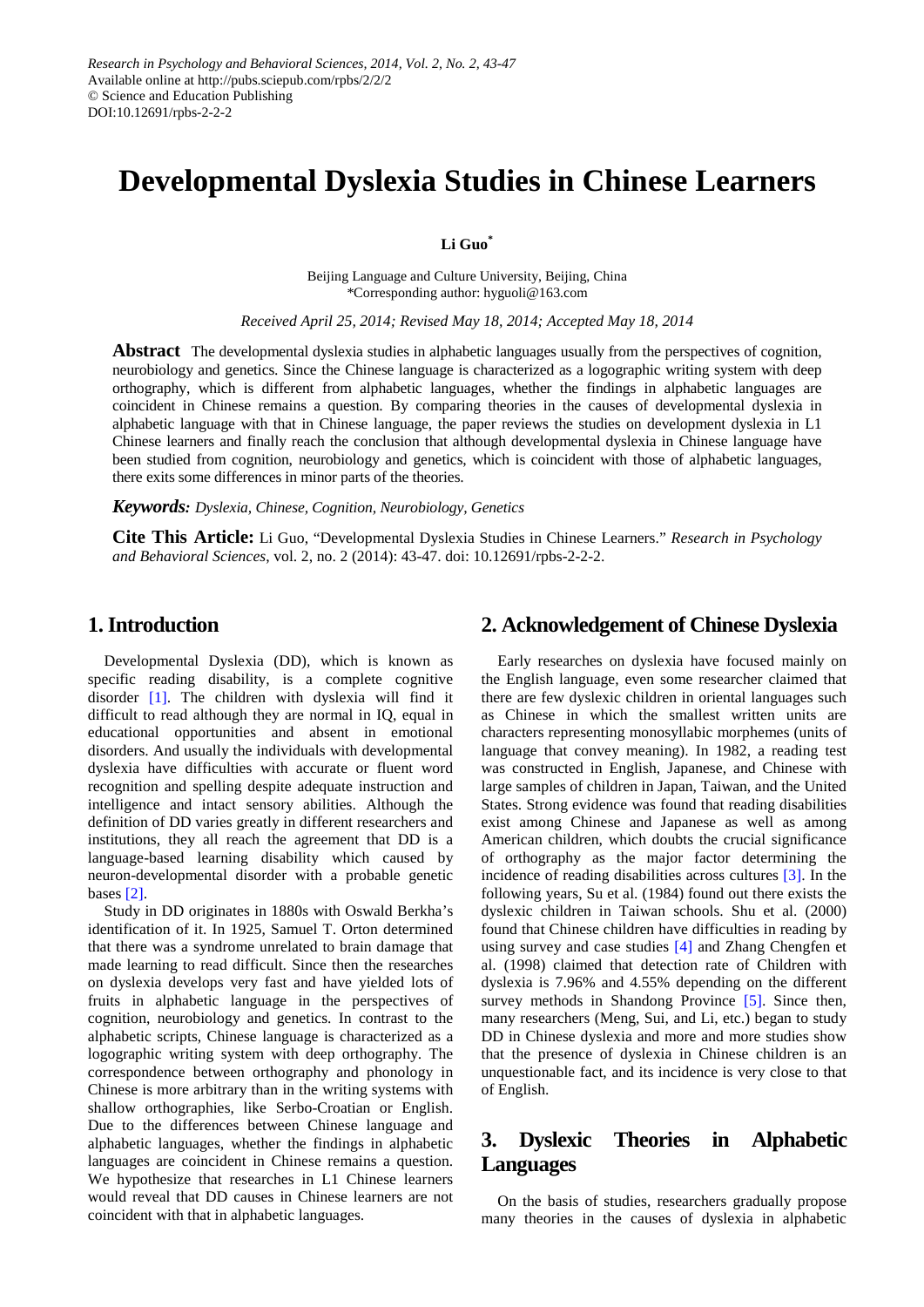# **Developmental Dyslexia Studies in Chinese Learners**

**Li Guo\***

Beijing Language and Culture University, Beijing, China \*Corresponding author: hyguoli@163.com

*Received April 25, 2014; Revised May 18, 2014; Accepted May 18, 2014*

**Abstract** The developmental dyslexia studies in alphabetic languages usually from the perspectives of cognition, neurobiology and genetics. Since the Chinese language is characterized as a logographic writing system with deep orthography, which is different from alphabetic languages, whether the findings in alphabetic languages are coincident in Chinese remains a question. By comparing theories in the causes of developmental dyslexia in alphabetic language with that in Chinese language, the paper reviews the studies on development dyslexia in L1 Chinese learners and finally reach the conclusion that although developmental dyslexia in Chinese language have been studied from cognition, neurobiology and genetics, which is coincident with those of alphabetic languages, there exits some differences in minor parts of the theories.

*Keywords: Dyslexia, Chinese, Cognition, Neurobiology, Genetics*

**Cite This Article:** Li Guo, "Developmental Dyslexia Studies in Chinese Learners." *Research in Psychology and Behavioral Sciences*, vol. 2, no. 2 (2014): 43-47. doi: 10.12691/rpbs-2-2-2.

## **1. Introduction**

Developmental Dyslexia (DD), which is known as specific reading disability, is a complete cognitive disorder [\[1\].](#page-3-0) The children with dyslexia will find it difficult to read although they are normal in IQ, equal in educational opportunities and absent in emotional disorders. And usually the individuals with developmental dyslexia have difficulties with accurate or fluent word recognition and spelling despite adequate instruction and intelligence and intact sensory abilities. Although the definition of DD varies greatly in different researchers and institutions, they all reach the agreement that DD is a language-based learning disability which caused by neuron-developmental disorder with a probable genetic bases [\[2\].](#page-3-1)

Study in DD originates in 1880s with Oswald Berkha's identification of it. In 1925, Samuel T. Orton determined that there was a syndrome unrelated to brain damage that made learning to read difficult. Since then the researches on dyslexia develops very fast and have yielded lots of fruits in alphabetic language in the perspectives of cognition, neurobiology and genetics. In contrast to the alphabetic scripts, Chinese language is characterized as a logographic writing system with deep orthography. The correspondence between orthography and phonology in Chinese is more arbitrary than in the writing systems with shallow orthographies, like Serbo-Croatian or English. Due to the differences between Chinese language and alphabetic languages, whether the findings in alphabetic languages are coincident in Chinese remains a question. We hypothesize that researches in L1 Chinese learners would reveal that DD causes in Chinese learners are not coincident with that in alphabetic languages.

# **2. Acknowledgement of Chinese Dyslexia**

Early researches on dyslexia have focused mainly on the English language, even some researcher claimed that there are few dyslexic children in oriental languages such as Chinese in which the smallest written units are characters representing monosyllabic morphemes (units of language that convey meaning). In 1982, a reading test was constructed in English, Japanese, and Chinese with large samples of children in Japan, Taiwan, and the United States. Strong evidence was found that reading disabilities exist among Chinese and Japanese as well as among American children, which doubts the crucial significance of orthography as the major factor determining the incidence of reading disabilities across cultures [\[3\].](#page-3-2) In the following years, Su et al. (1984) found out there exists the dyslexic children in Taiwan schools. Shu et al. (2000) found that Chinese children have difficulties in reading by using survey and case studies [\[4\]](#page-3-3) and Zhang Chengfen et al. (1998) claimed that detection rate of Children with dyslexia is 7.96% and 4.55% depending on the different survey methods in Shandong Province [\[5\].](#page-4-0) Since then, many researchers (Meng, Sui, and Li, etc.) began to study DD in Chinese dyslexia and more and more studies show that the presence of dyslexia in Chinese children is an unquestionable fact, and its incidence is very close to that of English.

# **3. Dyslexic Theories in Alphabetic Languages**

On the basis of studies, researchers gradually propose many theories in the causes of dyslexia in alphabetic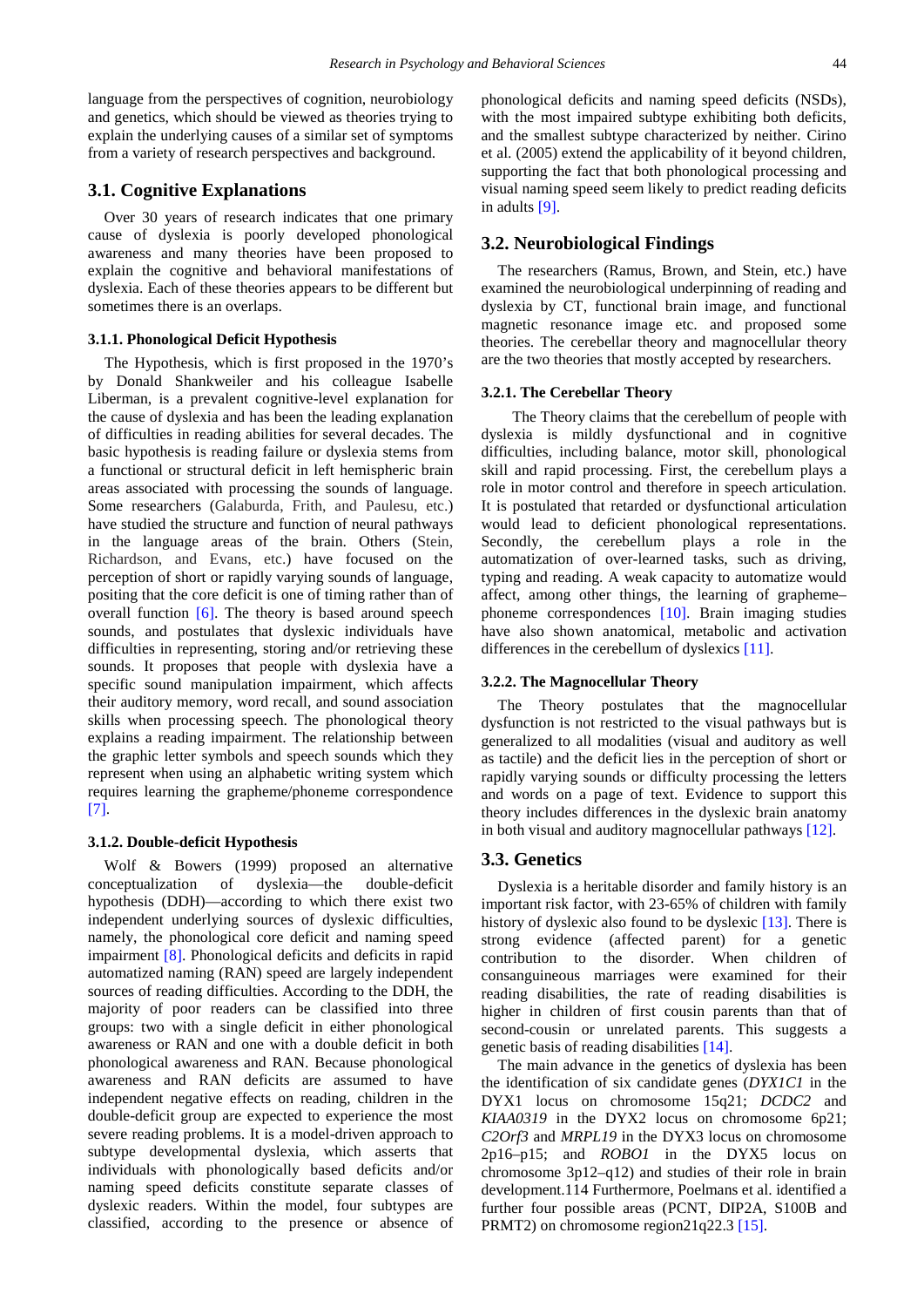language from the perspectives of cognition, neurobiology and genetics, which should be viewed as theories trying to explain the underlying causes of a similar set of symptoms from a variety of research perspectives and background.

## **3.1. Cognitive Explanations**

Over 30 years of research indicates that one primary cause of dyslexia is poorly developed phonological awareness and many theories have been proposed to explain the cognitive and behavioral manifestations of dyslexia. Each of these theories appears to be different but sometimes there is an overlaps.

#### **3.1.1. Phonological Deficit Hypothesis**

The Hypothesis, which is first proposed in the 1970's by Donald Shankweiler and his colleague Isabelle Liberman, is a prevalent cognitive-level explanation for the cause of dyslexia and has been the leading explanation of difficulties in reading abilities for several decades. The basic hypothesis is reading failure or dyslexia stems from a functional or structural deficit in left hemispheric brain areas associated with processing the sounds of language. Some researchers (Galaburda, Frith, and Paulesu, etc.) have studied the structure and function of neural pathways in the language areas of the brain. Others (Stein, Richardson, and Evans, etc.) have focused on the perception of short or rapidly varying sounds of language, positing that the core deficit is one of timing rather than of overall function [\[6\].](#page-4-1) The theory is based around speech sounds, and postulates that dyslexic individuals have difficulties in representing, storing and/or retrieving these sounds. It proposes that people with dyslexia have a specific sound manipulation impairment, which affects their auditory memory, word recall, and sound association skills when processing speech. The phonological theory explains a reading impairment. The relationship between the graphic letter symbols and speech sounds which they represent when using an alphabetic writing system which requires learning the grapheme/phoneme correspondence [\[7\].](#page-4-2)

#### **3.1.2. Double-deficit Hypothesis**

Wolf & Bowers (1999) proposed an alternative conceptualization of dyslexia—the double-deficit hypothesis (DDH)—according to which there exist two independent underlying sources of dyslexic difficulties, namely, the phonological core deficit and naming speed impairment [\[8\].](#page-4-3) Phonological deficits and deficits in rapid automatized naming (RAN) speed are largely independent sources of reading difficulties. According to the DDH, the majority of poor readers can be classified into three groups: two with a single deficit in either phonological awareness or RAN and one with a double deficit in both phonological awareness and RAN. Because phonological awareness and RAN deficits are assumed to have independent negative effects on reading, children in the double-deficit group are expected to experience the most severe reading problems. It is a model-driven approach to subtype developmental dyslexia, which asserts that individuals with phonologically based deficits and/or naming speed deficits constitute separate classes of dyslexic readers. Within the model, four subtypes are classified, according to the presence or absence of

phonological deficits and naming speed deficits (NSDs), with the most impaired subtype exhibiting both deficits, and the smallest subtype characterized by neither. Cirino et al. (2005) extend the applicability of it beyond children, supporting the fact that both phonological processing and visual naming speed seem likely to predict reading deficits in adults [\[9\].](#page-4-4)

## **3.2. Neurobiological Findings**

The researchers (Ramus, Brown, and Stein, etc.) have examined the neurobiological underpinning of reading and dyslexia by CT, functional brain image, and functional magnetic resonance image etc. and proposed some theories. The cerebellar theory and magnocellular theory are the two theories that mostly accepted by researchers.

#### **3.2.1. The Cerebellar Theory**

The Theory claims that the cerebellum of people with dyslexia is mildly dysfunctional and in cognitive difficulties, including balance, motor skill, phonological skill and rapid processing. First, the cerebellum plays a role in motor control and therefore in speech articulation. It is postulated that retarded or dysfunctional articulation would lead to deficient phonological representations. Secondly, the cerebellum plays a role in the automatization of over-learned tasks, such as driving, typing and reading. A weak capacity to automatize would affect, among other things, the learning of grapheme– phoneme correspondences [\[10\].](#page-4-5) Brain imaging studies have also shown anatomical, metabolic and activation differences in the cerebellum of dyslexics [\[11\].](#page-4-6)

#### **3.2.2. The Magnocellular Theory**

The Theory postulates that the magnocellular dysfunction is not restricted to the visual pathways but is generalized to all modalities (visual and auditory as well as tactile) and the deficit lies in the perception of short or rapidly varying sounds or difficulty processing the letters and words on a page of text. Evidence to support this theory includes differences in the dyslexic brain anatomy in both visual and auditory magnocellular pathways [\[12\].](#page-4-7)

#### **3.3. Genetics**

Dyslexia is a heritable disorder and family history is an important risk factor, with 23-65% of children with family history of dyslexic also found to be dyslexic [\[13\].](#page-4-8) There is strong evidence (affected parent) for a genetic contribution to the disorder. When children of consanguineous marriages were examined for their reading disabilities, the rate of reading disabilities is higher in children of first cousin parents than that of second-cousin or unrelated parents. This suggests a genetic basis of reading disabilities [\[14\].](#page-4-9)

The main advance in the genetics of dyslexia has been the identification of six candidate genes (*DYX1C1* in the DYX1 locus on chromosome 15q21; *DCDC2* and *KIAA0319* in the DYX2 locus on chromosome 6p21; *C2Orf3* and *MRPL19* in the DYX3 locus on chromosome 2p16–p15; and *ROBO1* in the DYX5 locus on chromosome 3p12–q12) and studies of their role in brain development.114 Furthermore, Poelmans et al. identified a further four possible areas (PCNT, DIP2A, S100B and PRMT2) on chromosome region21q22.3 [\[15\].](#page-4-10)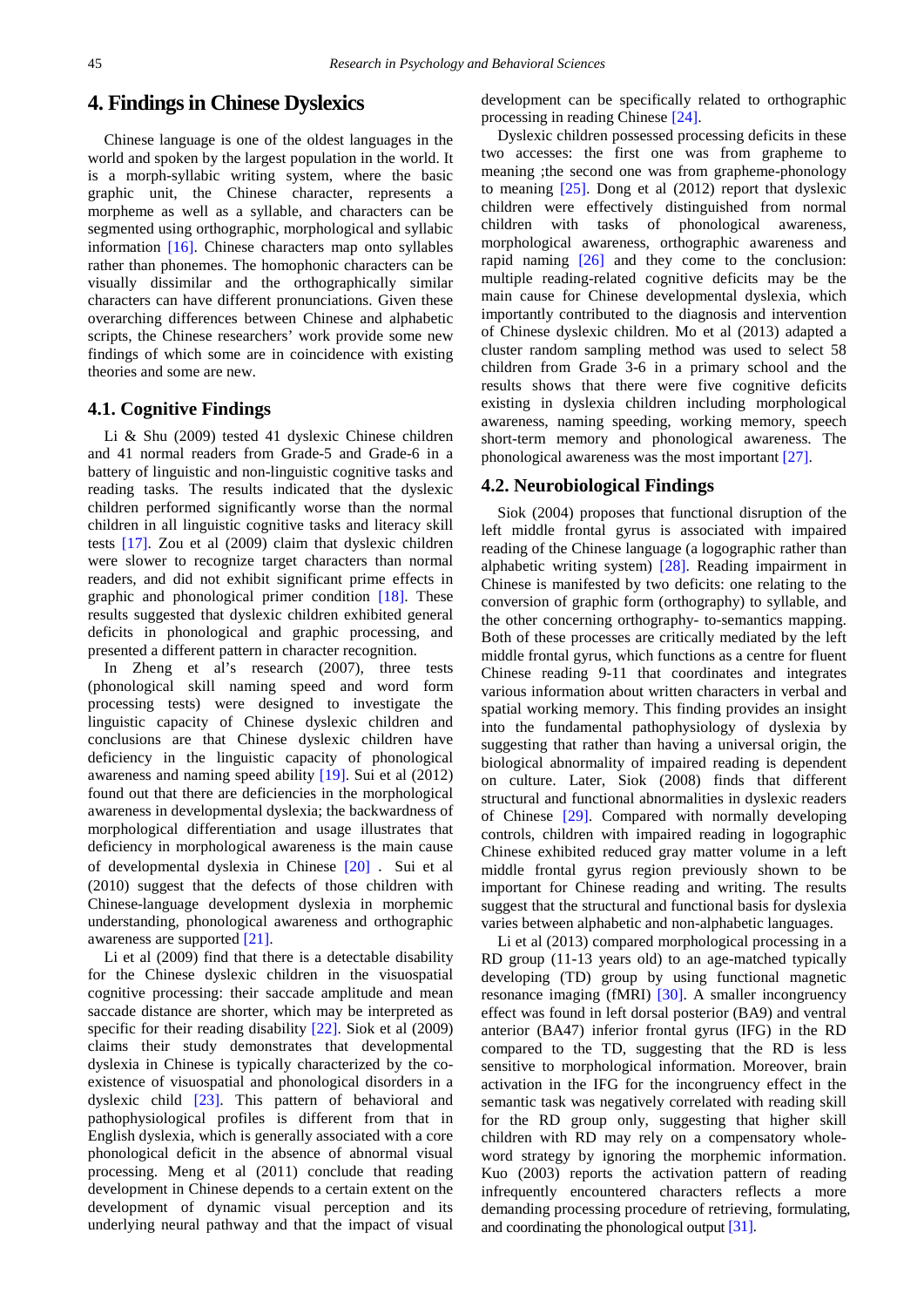## **4. Findings in Chinese Dyslexics**

Chinese language is one of the oldest languages in the world and spoken by the largest population in the world. It is a morph-syllabic writing system, where the basic graphic unit, the Chinese character, represents a morpheme as well as a syllable, and characters can be segmented using orthographic, morphological and syllabic information [\[16\].](#page-4-11) Chinese characters map onto syllables rather than phonemes. The homophonic characters can be visually dissimilar and the orthographically similar characters can have different pronunciations. Given these overarching differences between Chinese and alphabetic scripts, the Chinese researchers' work provide some new findings of which some are in coincidence with existing theories and some are new.

## **4.1. Cognitive Findings**

Li & Shu (2009) tested 41 dyslexic Chinese children and 41 normal readers from Grade-5 and Grade-6 in a battery of linguistic and non-linguistic cognitive tasks and reading tasks. The results indicated that the dyslexic children performed significantly worse than the normal children in all linguistic cognitive tasks and literacy skill tests [\[17\].](#page-4-12) Zou et al (2009) claim that dyslexic children were slower to recognize target characters than normal readers, and did not exhibit significant prime effects in graphic and phonological primer condition [\[18\].](#page-4-13) These results suggested that dyslexic children exhibited general deficits in phonological and graphic processing, and presented a different pattern in character recognition.

In Zheng et al's research (2007), three tests (phonological skill naming speed and word form processing tests) were designed to investigate the linguistic capacity of Chinese dyslexic children and conclusions are that Chinese dyslexic children have deficiency in the linguistic capacity of phonological awareness and naming speed ability [\[19\].](#page-4-14) Sui et al (2012) found out that there are deficiencies in the morphological awareness in developmental dyslexia; the backwardness of morphological differentiation and usage illustrates that deficiency in morphological awareness is the main cause of developmental dyslexia in Chinese [\[20\]](#page-4-15). Sui et al (2010) suggest that the defects of those children with Chinese-language development dyslexia in morphemic understanding, phonological awareness and orthographic awareness are supported [\[21\].](#page-4-16)

Li et al (2009) find that there is a detectable disability for the Chinese dyslexic children in the visuospatial cognitive processing: their saccade amplitude and mean saccade distance are shorter, which may be interpreted as specific for their reading disability [\[22\].](#page-4-17) Siok et al (2009) claims their study demonstrates that developmental dyslexia in Chinese is typically characterized by the coexistence of visuospatial and phonological disorders in a dyslexic child [\[23\].](#page-4-18) This pattern of behavioral and pathophysiological profiles is different from that in English dyslexia, which is generally associated with a core phonological deficit in the absence of abnormal visual processing. Meng et al (2011) conclude that reading development in Chinese depends to a certain extent on the development of dynamic visual perception and its underlying neural pathway and that the impact of visual

development can be specifically related to orthographic processing in reading Chinese [\[24\].](#page-4-19)

Dyslexic children possessed processing deficits in these two accesses: the first one was from grapheme to meaning ;the second one was from grapheme-phonology to meaning [\[25\].](#page-4-20) Dong et al (2012) report that dyslexic children were effectively distinguished from normal children with tasks of phonological awareness, morphological awareness, orthographic awareness and rapid naming [\[26\]](#page-4-21) and they come to the conclusion: multiple reading-related cognitive deficits may be the main cause for Chinese developmental dyslexia, which importantly contributed to the diagnosis and intervention of Chinese dyslexic children. Mo et al (2013) adapted a cluster random sampling method was used to select 58 children from Grade 3-6 in a primary school and the results shows that there were five cognitive deficits existing in dyslexia children including morphological awareness, naming speeding, working memory, speech short-term memory and phonological awareness. The phonological awareness was the most important [\[27\].](#page-4-22) 

## **4.2. Neurobiological Findings**

Siok (2004) proposes that functional disruption of the left middle frontal gyrus is associated with impaired reading of the Chinese language (a logographic rather than alphabetic writing system) [\[28\].](#page-4-23) Reading impairment in Chinese is manifested by two deficits: one relating to the conversion of graphic form (orthography) to syllable, and the other concerning orthography- to-semantics mapping. Both of these processes are critically mediated by the left middle frontal gyrus, which functions as a centre for fluent Chinese reading 9-11 that coordinates and integrates various information about written characters in verbal and spatial working memory. This finding provides an insight into the fundamental pathophysiology of dyslexia by suggesting that rather than having a universal origin, the biological abnormality of impaired reading is dependent on culture. Later, Siok (2008) finds that different structural and functional abnormalities in dyslexic readers of Chinese [\[29\].](#page-4-24) Compared with normally developing controls, children with impaired reading in logographic Chinese exhibited reduced gray matter volume in a left middle frontal gyrus region previously shown to be important for Chinese reading and writing. The results suggest that the structural and functional basis for dyslexia varies between alphabetic and non-alphabetic languages.

Li et al (2013) compared morphological processing in a RD group (11-13 years old) to an age-matched typically developing (TD) group by using functional magnetic resonance imaging (fMRI) [\[30\].](#page-4-25) A smaller incongruency effect was found in left dorsal posterior (BA9) and ventral anterior (BA47) inferior frontal gyrus (IFG) in the RD compared to the TD, suggesting that the RD is less sensitive to morphological information. Moreover, brain activation in the IFG for the incongruency effect in the semantic task was negatively correlated with reading skill for the RD group only, suggesting that higher skill children with RD may rely on a compensatory wholeword strategy by ignoring the morphemic information. Kuo (2003) reports the activation pattern of reading infrequently encountered characters reflects a more demanding processing procedure of retrieving, formulating, and coordinating the phonological output [\[31\].](#page-4-26)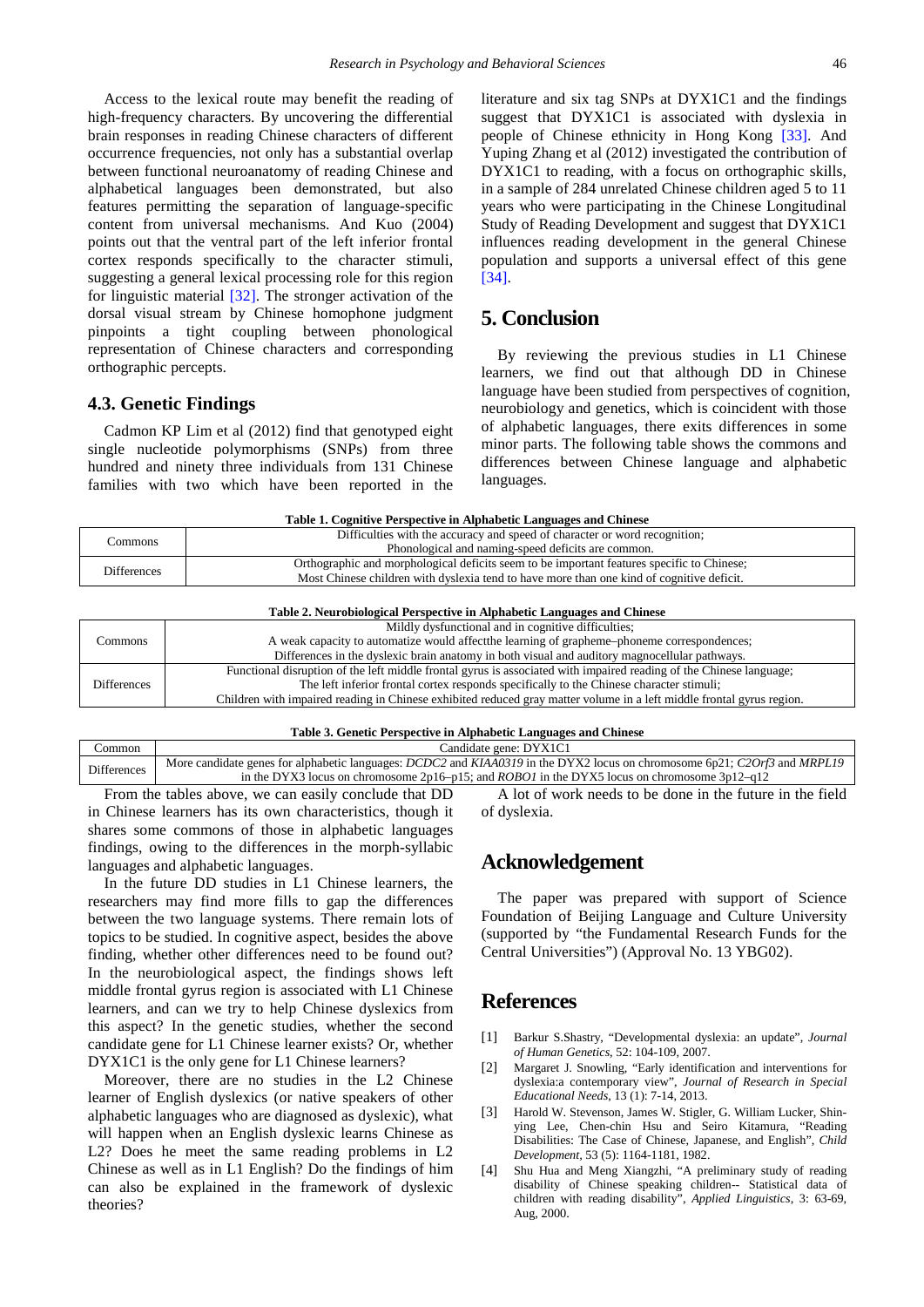Access to the lexical route may benefit the reading of high-frequency characters. By uncovering the differential brain responses in reading Chinese characters of different occurrence frequencies, not only has a substantial overlap between functional neuroanatomy of reading Chinese and alphabetical languages been demonstrated, but also features permitting the separation of language-specific content from universal mechanisms. And Kuo (2004) points out that the ventral part of the left inferior frontal cortex responds specifically to the character stimuli, suggesting a general lexical processing role for this region for linguistic material [\[32\].](#page-4-27) The stronger activation of the dorsal visual stream by Chinese homophone judgment pinpoints a tight coupling between phonological representation of Chinese characters and corresponding orthographic percepts.

## **4.3. Genetic Findings**

Cadmon KP Lim et al (2012) find that genotyped eight single nucleotide polymorphisms (SNPs) from three hundred and ninety three individuals from 131 Chinese families with two which have been reported in the literature and six tag SNPs at DYX1C1 and the findings suggest that DYX1C1 is associated with dyslexia in people of Chinese ethnicity in Hong Kong [\[33\].](#page-4-28) And Yuping Zhang et al (2012) investigated the contribution of DYX1C1 to reading, with a focus on orthographic skills, in a sample of 284 unrelated Chinese children aged 5 to 11 years who were participating in the Chinese Longitudinal Study of Reading Development and suggest that DYX1C1 influences reading development in the general Chinese population and supports a universal effect of this gene [\[34\].](#page-4-29)

# **5. Conclusion**

By reviewing the previous studies in L1 Chinese learners, we find out that although DD in Chinese language have been studied from perspectives of cognition, neurobiology and genetics, which is coincident with those of alphabetic languages, there exits differences in some minor parts. The following table shows the commons and differences between Chinese language and alphabetic languages.

| Table 1. Cognitive Perspective in Alphabetic Languages and Chinese |                                                                                            |  |
|--------------------------------------------------------------------|--------------------------------------------------------------------------------------------|--|
| Commons                                                            | Difficulties with the accuracy and speed of character or word recognition;                 |  |
|                                                                    | Phonological and naming-speed deficits are common.                                         |  |
| <b>Differences</b>                                                 | Orthographic and morphological deficits seem to be important features specific to Chinese; |  |
|                                                                    | Most Chinese children with dyslexia tend to have more than one kind of cognitive deficit.  |  |
|                                                                    |                                                                                            |  |

#### **Table 2. Neurobiological Perspective in Alphabetic Languages and Chinese**

| Commons     | Mildly dysfunctional and in cognitive difficulties;                                                                   |
|-------------|-----------------------------------------------------------------------------------------------------------------------|
|             | A weak capacity to automatize would affect the learning of grapheme-phoneme correspondences;                          |
|             | Differences in the dyslexic brain anatomy in both visual and auditory magnocellular pathways.                         |
| Differences | Functional disruption of the left middle frontal gyrus is associated with impaired reading of the Chinese language;   |
|             | The left inferior frontal cortex responds specifically to the Chinese character stimuli;                              |
|             | Children with impaired reading in Chinese exhibited reduced gray matter volume in a left middle frontal gyrus region. |

#### **Table 3. Genetic Perspective in Alphabetic Languages and Chinese**

| :ommon             | Candidate gene: DYX1C1                                                                                                                                |  |
|--------------------|-------------------------------------------------------------------------------------------------------------------------------------------------------|--|
| <b>Differences</b> | More candidate genes for alphabetic languages: <i>DCDC2</i> and <i>KIAA0319</i> in the DYX2 locus on chromosome 6p21; <i>C2Orf3</i> and <i>MRPL19</i> |  |
|                    | in the DYX3 locus on chromosome 2p16-p15; and ROBO1 in the DYX5 locus on chromosome $3p12-q12$                                                        |  |
|                    |                                                                                                                                                       |  |

From the tables above, we can easily conclude that DD in Chinese learners has its own characteristics, though it shares some commons of those in alphabetic languages findings, owing to the differences in the morph-syllabic languages and alphabetic languages.

In the future DD studies in L1 Chinese learners, the researchers may find more fills to gap the differences between the two language systems. There remain lots of topics to be studied. In cognitive aspect, besides the above finding, whether other differences need to be found out? In the neurobiological aspect, the findings shows left middle frontal gyrus region is associated with L1 Chinese learners, and can we try to help Chinese dyslexics from this aspect? In the genetic studies, whether the second candidate gene for L1 Chinese learner exists? Or, whether DYX1C1 is the only gene for L1 Chinese learners?

Moreover, there are no studies in the L2 Chinese learner of English dyslexics (or native speakers of other alphabetic languages who are diagnosed as dyslexic), what will happen when an English dyslexic learns Chinese as L2? Does he meet the same reading problems in L2 Chinese as well as in L1 English? Do the findings of him can also be explained in the framework of dyslexic theories?

A lot of work needs to be done in the future in the field of dyslexia.

## **Acknowledgement**

The paper was prepared with support of Science Foundation of Beijing Language and Culture University (supported by "the Fundamental Research Funds for the Central Universities") (Approval No. 13 YBG02).

## **References**

- <span id="page-3-0"></span>[1] Barkur S.Shastry, "Developmental dyslexia: an update", *Journal of Human Genetics*, 52: 104-109, 2007.
- <span id="page-3-1"></span>[2] Margaret J. Snowling, "Early identification and interventions for dyslexia:a contemporary view", *Journal of Research in Special Educational Needs*, 13 (1): 7-14, 2013.
- <span id="page-3-2"></span>[3] Harold W. Stevenson, James W. Stigler, G. William Lucker, Shinying Lee, Chen-chin Hsu and Seiro Kitamura, "Reading Disabilities: The Case of Chinese, Japanese, and English", *Child Development,* 53 (5): 1164-1181, 1982.
- <span id="page-3-3"></span>[4] Shu Hua and Meng Xiangzhi, "A preliminary study of reading disability of Chinese speaking children-- Statistical data of children with reading disability", *Applied Linguistics*, 3: 63-69, Aug, 2000.